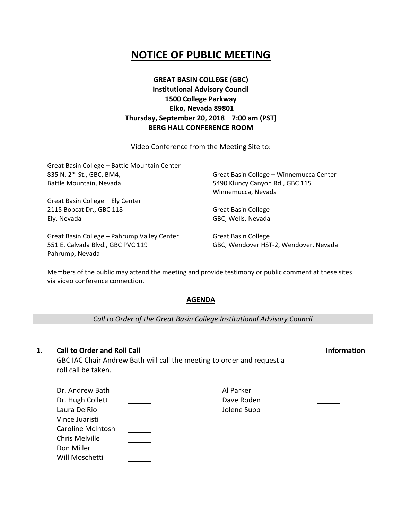# **NOTICE OF PUBLIC MEETING**

# **GREAT BASIN COLLEGE (GBC) Institutional Advisory Council 1500 College Parkway Elko, Nevada 89801 Thursday, September 20, 2018 7:00 am (PST) BERG HALL CONFERENCE ROOM**

Video Conference from the Meeting Site to:

| Great Basin College - Battle Mountain Center |                                         |  |
|----------------------------------------------|-----------------------------------------|--|
| 835 N. 2 <sup>nd</sup> St., GBC, BM4,        | Great Basin College - Winnemucca Center |  |
| Battle Mountain, Nevada                      | 5490 Kluncy Canyon Rd., GBC 115         |  |
|                                              | Winnemucca, Nevada                      |  |
| Great Basin College - Ely Center             |                                         |  |
| 2115 Bobcat Dr., GBC 118                     | <b>Great Basin College</b>              |  |
| Ely, Nevada                                  | GBC, Wells, Nevada                      |  |
| Great Basin College - Pahrump Valley Center  | <b>Great Basin College</b>              |  |
| 551 E. Calvada Blvd., GBC PVC 119            | GBC, Wendover HST-2, Wendover, Nevada   |  |

Members of the public may attend the meeting and provide testimony or public comment at these sites via video conference connection.

# **AGENDA**

*Call to Order of the Great Basin College Institutional Advisory Council*

# **1. Call to Order and Roll Call Information**

Pahrump, Nevada

GBC IAC Chair Andrew Bath will call the meeting to order and request a roll call be taken.

| Dr. Andrew Bath   | Al Parker   |  |
|-------------------|-------------|--|
| Dr. Hugh Collett  | Dave Roden  |  |
| Laura DelRio      | Jolene Supp |  |
| Vince Juaristi    |             |  |
| Caroline McIntosh |             |  |
| Chris Melville    |             |  |
| Don Miller        |             |  |
| Will Moschetti    |             |  |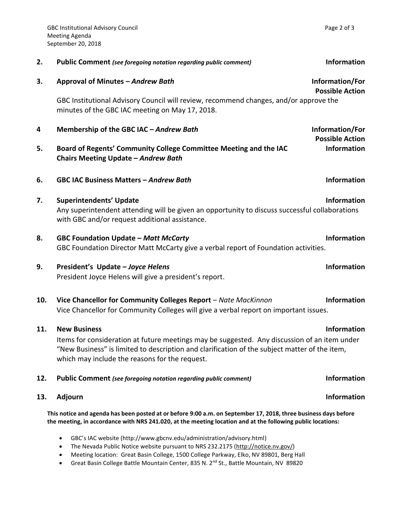| 3.  | Approval of Minutes - Andrew Bath<br>GBC Institutional Advisory Council will review, recommend changes, and/or approve the<br>minutes of the GBC IAC meeting on May 17, 2018.                                                                                          | Information/For<br><b>Possible Action</b> |
|-----|------------------------------------------------------------------------------------------------------------------------------------------------------------------------------------------------------------------------------------------------------------------------|-------------------------------------------|
| 4   | Membership of the GBC IAC - Andrew Bath                                                                                                                                                                                                                                | Information/For<br><b>Possible Action</b> |
| 5.  | Board of Regents' Community College Committee Meeting and the IAC<br>Chairs Meeting Update - Andrew Bath                                                                                                                                                               | <b>Information</b>                        |
| 6.  | <b>GBC IAC Business Matters - Andrew Bath</b>                                                                                                                                                                                                                          | <b>Information</b>                        |
| 7.  | <b>Superintendents' Update</b><br>Any superintendent attending will be given an opportunity to discuss successful collaborations<br>with GBC and/or request additional assistance.                                                                                     | <b>Information</b>                        |
| 8.  | <b>GBC Foundation Update - Matt McCarty</b><br>GBC Foundation Director Matt McCarty give a verbal report of Foundation activities.                                                                                                                                     | <b>Information</b>                        |
| 9.  | President's Update - Joyce Helens<br>President Joyce Helens will give a president's report.                                                                                                                                                                            | <b>Information</b>                        |
| 10. | Vice Chancellor for Community Colleges Report - Nate MacKinnon<br>Vice Chancellor for Community Colleges will give a verbal report on important issues.                                                                                                                | <b>Information</b>                        |
| 11. | <b>New Business</b><br>Items for consideration at future meetings may be suggested. Any discussion of an item under<br>"New Business" is limited to description and clarification of the subject matter of the item,<br>which may include the reasons for the request. | <b>Information</b>                        |

**2. Public Comment** *(see foregoing notation regarding public comment)* **Information**

# **12. Public Comment** *(see foregoing notation regarding public comment)* **Information**

### **13.** Adjourn **Information**

**This notice and agenda has been posted at or before 9:00 a.m. on September 17, 2018, three business days before the meeting, in accordance with NRS 241.020, at the meeting location and at the following public locations:**

- GBC's IAC website (http://www.gbcnv.edu/administration/advisory.html)
- The Nevada Public Notice website pursuant to NRS 232.2175 [\(http://notice.nv.gov/\)](http://notice.nv.gov/)
- Meeting location: Great Basin College, 1500 College Parkway, Elko, NV 89801, Berg Hall
- Great Basin College Battle Mountain Center, 835 N. 2<sup>nd</sup> St., Battle Mountain, NV 89820